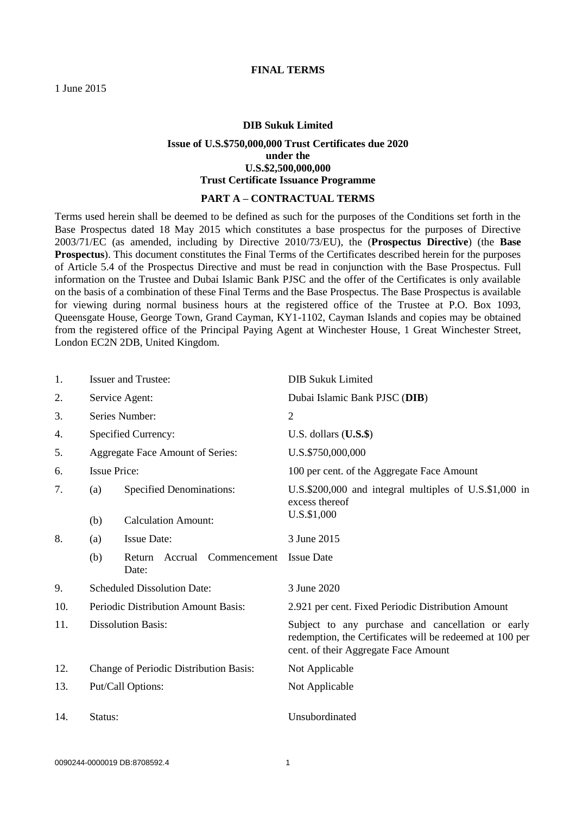#### **FINAL TERMS**

#### **DIB Sukuk Limited**

## **Issue of U.S.\$750,000,000 Trust Certificates due 2020 under the U.S.\$2,500,000,000 Trust Certificate Issuance Programme**

#### **PART A – CONTRACTUAL TERMS**

Terms used herein shall be deemed to be defined as such for the purposes of the Conditions set forth in the Base Prospectus dated 18 May 2015 which constitutes a base prospectus for the purposes of Directive 2003/71/EC (as amended, including by Directive 2010/73/EU), the (**Prospectus Directive**) (the **Base Prospectus**). This document constitutes the Final Terms of the Certificates described herein for the purposes of Article 5.4 of the Prospectus Directive and must be read in conjunction with the Base Prospectus. Full information on the Trustee and Dubai Islamic Bank PJSC and the offer of the Certificates is only available on the basis of a combination of these Final Terms and the Base Prospectus. The Base Prospectus is available for viewing during normal business hours at the registered office of the Trustee at P.O. Box 1093, Queensgate House, George Town, Grand Cayman, KY1-1102, Cayman Islands and copies may be obtained from the registered office of the Principal Paying Agent at Winchester House, 1 Great Winchester Street, London EC2N 2DB, United Kingdom.

| 1.  | <b>Issuer and Trustee:</b>             |                                            | <b>DIB Sukuk Limited</b>                                                                                                                              |  |  |  |  |  |
|-----|----------------------------------------|--------------------------------------------|-------------------------------------------------------------------------------------------------------------------------------------------------------|--|--|--|--|--|
| 2.  | Service Agent:                         |                                            | Dubai Islamic Bank PJSC (DIB)                                                                                                                         |  |  |  |  |  |
| 3.  | Series Number:                         |                                            | $\overline{2}$                                                                                                                                        |  |  |  |  |  |
| 4.  | Specified Currency:                    |                                            | U.S. dollars $(U.S.$ \$)                                                                                                                              |  |  |  |  |  |
| 5.  | Aggregate Face Amount of Series:       |                                            | U.S.\$750,000,000                                                                                                                                     |  |  |  |  |  |
| 6.  | <b>Issue Price:</b>                    |                                            | 100 per cent. of the Aggregate Face Amount                                                                                                            |  |  |  |  |  |
| 7.  | (a)                                    | <b>Specified Denominations:</b>            | U.S.\$200,000 and integral multiples of U.S.\$1,000 in<br>excess thereof                                                                              |  |  |  |  |  |
|     | (b)                                    | <b>Calculation Amount:</b>                 | U.S.\$1,000                                                                                                                                           |  |  |  |  |  |
| 8.  | (a)                                    | <b>Issue Date:</b>                         | 3 June 2015                                                                                                                                           |  |  |  |  |  |
|     | (b)                                    | Return<br>Accrual<br>Commencement<br>Date: | <b>Issue Date</b>                                                                                                                                     |  |  |  |  |  |
| 9.  | <b>Scheduled Dissolution Date:</b>     |                                            | 3 June 2020                                                                                                                                           |  |  |  |  |  |
| 10. | Periodic Distribution Amount Basis:    |                                            | 2.921 per cent. Fixed Periodic Distribution Amount                                                                                                    |  |  |  |  |  |
| 11. | <b>Dissolution Basis:</b>              |                                            | Subject to any purchase and cancellation or early<br>redemption, the Certificates will be redeemed at 100 per<br>cent. of their Aggregate Face Amount |  |  |  |  |  |
| 12. | Change of Periodic Distribution Basis: |                                            | Not Applicable                                                                                                                                        |  |  |  |  |  |
| 13. | Put/Call Options:                      |                                            | Not Applicable                                                                                                                                        |  |  |  |  |  |
| 14. | Status:                                |                                            | Unsubordinated                                                                                                                                        |  |  |  |  |  |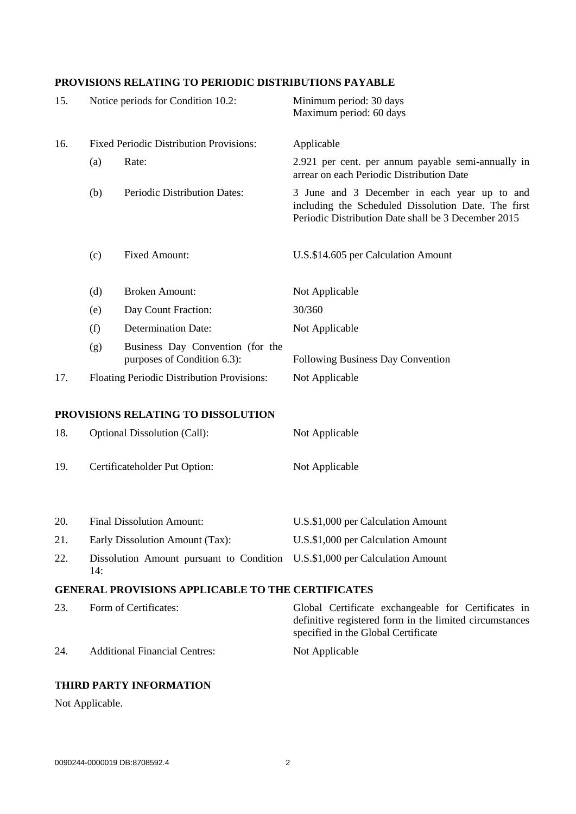# **PROVISIONS RELATING TO PERIODIC DISTRIBUTIONS PAYABLE**

| 15. | Notice periods for Condition 10.2:                                                 |                                                                 | Minimum period: 30 days<br>Maximum period: 60 days                                                                                                         |  |  |  |  |  |
|-----|------------------------------------------------------------------------------------|-----------------------------------------------------------------|------------------------------------------------------------------------------------------------------------------------------------------------------------|--|--|--|--|--|
| 16. |                                                                                    | Fixed Periodic Distribution Provisions:                         | Applicable                                                                                                                                                 |  |  |  |  |  |
|     | Rate:<br>(a)                                                                       |                                                                 | 2.921 per cent. per annum payable semi-annually in<br>arrear on each Periodic Distribution Date                                                            |  |  |  |  |  |
|     | (b)                                                                                | Periodic Distribution Dates:                                    | 3 June and 3 December in each year up to and<br>including the Scheduled Dissolution Date. The first<br>Periodic Distribution Date shall be 3 December 2015 |  |  |  |  |  |
|     | (c)                                                                                | <b>Fixed Amount:</b>                                            | U.S.\$14.605 per Calculation Amount                                                                                                                        |  |  |  |  |  |
|     | (d)                                                                                | <b>Broken Amount:</b>                                           | Not Applicable                                                                                                                                             |  |  |  |  |  |
|     | (e)                                                                                | Day Count Fraction:                                             | 30/360                                                                                                                                                     |  |  |  |  |  |
|     | (f)                                                                                | <b>Determination Date:</b>                                      | Not Applicable                                                                                                                                             |  |  |  |  |  |
|     | (g)                                                                                | Business Day Convention (for the<br>purposes of Condition 6.3): | Following Business Day Convention                                                                                                                          |  |  |  |  |  |
| 17. | Floating Periodic Distribution Provisions:                                         |                                                                 | Not Applicable                                                                                                                                             |  |  |  |  |  |
|     |                                                                                    | PROVISIONS RELATING TO DISSOLUTION                              |                                                                                                                                                            |  |  |  |  |  |
| 18. | Optional Dissolution (Call):                                                       |                                                                 | Not Applicable                                                                                                                                             |  |  |  |  |  |
| 19. | Certificateholder Put Option:                                                      |                                                                 | Not Applicable                                                                                                                                             |  |  |  |  |  |
| 20. | <b>Final Dissolution Amount:</b>                                                   |                                                                 | U.S.\$1,000 per Calculation Amount                                                                                                                         |  |  |  |  |  |
| 21. | Early Dissolution Amount (Tax):                                                    |                                                                 | U.S.\$1,000 per Calculation Amount                                                                                                                         |  |  |  |  |  |
| 22. | Dissolution Amount pursuant to Condition U.S.\$1,000 per Calculation Amount<br>14: |                                                                 |                                                                                                                                                            |  |  |  |  |  |
|     |                                                                                    | <b>GENERAL PROVISIONS APPLICABLE TO THE CERTIFICATES</b>        |                                                                                                                                                            |  |  |  |  |  |
| 23. | Form of Certificates:                                                              |                                                                 | Global Certificate exchangeable for Certificates in<br>definitive registered form in the limited circumstances<br>specified in the Global Certificate      |  |  |  |  |  |
| 24. | <b>Additional Financial Centres:</b>                                               |                                                                 | Not Applicable                                                                                                                                             |  |  |  |  |  |

# **THIRD PARTY INFORMATION**

Not Applicable.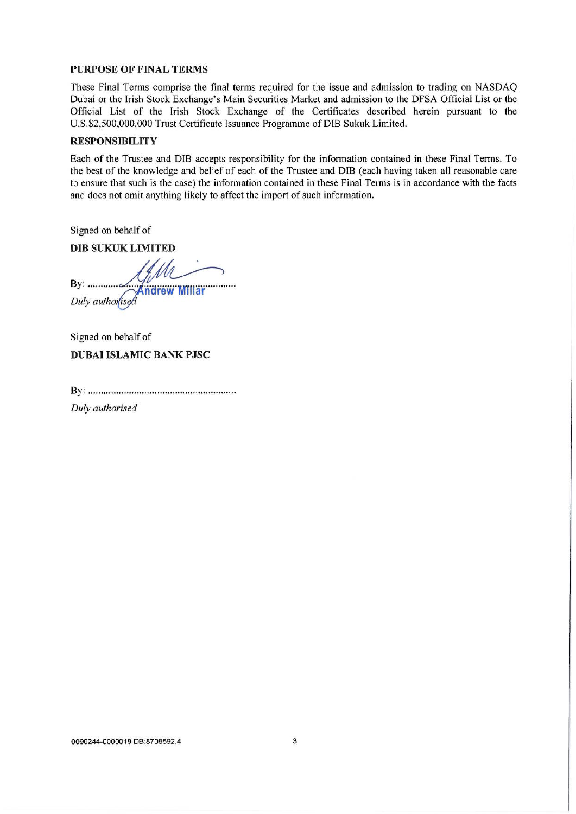### **PURPOSE OF FINAL TERMS**

These Final Terms comprise the final terms required for the issue and admission to trading on NASDAQ Dubai or the Irish Stock Exchange's Main Securities Market and admission to the DFSA Official List or the Official List of the Irish Stock Exchange of the Certificates described herein pursuant to the U.S.\$2,500,000,000 Trust Certificate Issuance Programme of DIB Sukuk Limited.

#### **RESPONSIBILITY**

Each of the Trustee and DIB accepts responsibility for the information contained in these Final Terms. To the best of the knowledge and belief of each of the Trustee and DIB (each having taken all reasonable care to ensure that such is the case) the information contained in these Final Terms is in accordance with the facts and does not omit anything likely to affect the import of such information.

Signed on behalf of

**DIB SUKUK LIMITED** 

By: ........... Andrew Millar Duly authorised

Signed on behalf of **DUBAI ISLAMIC BANK PJSC** 

Duly authorised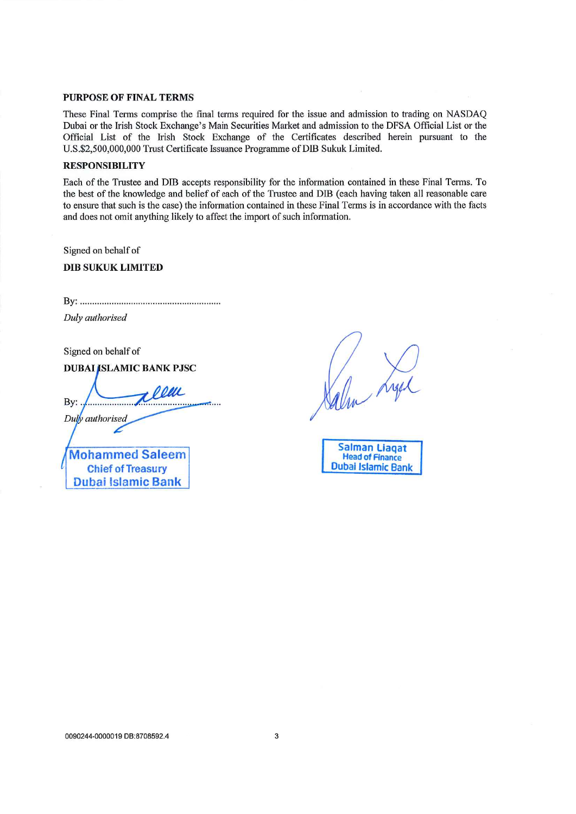#### **PURPOSE OF FINAL TERMS**

These Final Terms comprise the final terms required for the issue and admission to trading on NASDAQ Dubai or the Irish Stock Exchange's Main Securities Market and admission to the DFSA Official List or the Official List of the Irish Stock Exchange of the Certificates described herein pursuant to the U.S.\$2,500,000,000 Trust Certificate Issuance Programme of DIB Sukuk Limited.

#### **RESPONSIBILITY**

Each of the Trustee and DIB accepts responsibility for the information contained in these Final Terms. To the best of the knowledge and belief of each of the Trustee and DIB (each having taken all reasonable care to ensure that such is the case) the information contained in these Final Terms is in accordance with the facts and does not omit anything likely to affect the import of such information.

Signed on behalf of

**DIB SUKUK LIMITED** 

Duly authorised

Signed on behalf of

**DUBAI ISLAMIC BANK PJSC** 

By: Duly authorised

**Mohammed Saleem Chief of Treasury Dubai Islamic Bank** 

| <b>Salman Liagat</b>      |
|---------------------------|
| <b>Head of Finance</b>    |
| <b>Dubai Islamic Bank</b> |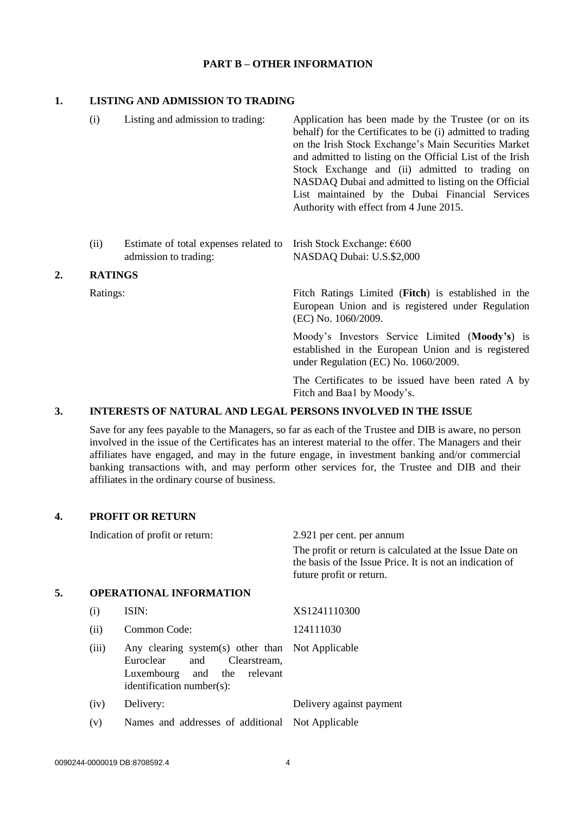#### **PART B – OTHER INFORMATION**

# **1. LISTING AND ADMISSION TO TRADING**

| (i) | Listing and admission to trading: | Application has been made by the Trustee (or on its<br>behalf) for the Certificates to be (i) admitted to trading<br>on the Irish Stock Exchange's Main Securities Market<br>and admitted to listing on the Official List of the Irish<br>Stock Exchange and (ii) admitted to trading on<br>NASDAQ Dubai and admitted to listing on the Official<br>List maintained by the Dubai Financial Services<br>Authority with effect from 4 June 2015. |
|-----|-----------------------------------|------------------------------------------------------------------------------------------------------------------------------------------------------------------------------------------------------------------------------------------------------------------------------------------------------------------------------------------------------------------------------------------------------------------------------------------------|
|     |                                   |                                                                                                                                                                                                                                                                                                                                                                                                                                                |

#### (ii) Estimate of total expenses related to Irish Stock Exchange: €600 admission to trading: NASDAQ Dubai: U.S.\$2,000

#### **2. RATINGS**

Ratings: Fitch Ratings Limited (**Fitch**) is established in the European Union and is registered under Regulation (EC) No. 1060/2009.

> Moody's Investors Service Limited (**Moody's**) is established in the European Union and is registered under Regulation (EC) No. 1060/2009.

> The Certificates to be issued have been rated A by Fitch and Baa1 by Moody's.

# **3. INTERESTS OF NATURAL AND LEGAL PERSONS INVOLVED IN THE ISSUE**

Save for any fees payable to the Managers, so far as each of the Trustee and DIB is aware, no person involved in the issue of the Certificates has an interest material to the offer. The Managers and their affiliates have engaged, and may in the future engage, in investment banking and/or commercial banking transactions with, and may perform other services for, the Trustee and DIB and their affiliates in the ordinary course of business.

# **4. PROFIT OR RETURN**

|    | Indication of profit or return: |                                                                                                                                                           | 2.921 per cent. per annum                                                                                                                       |  |  |  |  |  |
|----|---------------------------------|-----------------------------------------------------------------------------------------------------------------------------------------------------------|-------------------------------------------------------------------------------------------------------------------------------------------------|--|--|--|--|--|
|    |                                 |                                                                                                                                                           | The profit or return is calculated at the Issue Date on<br>the basis of the Issue Price. It is not an indication of<br>future profit or return. |  |  |  |  |  |
| 5. |                                 | <b>OPERATIONAL INFORMATION</b>                                                                                                                            |                                                                                                                                                 |  |  |  |  |  |
|    | (i)                             | ISIN:                                                                                                                                                     | XS1241110300                                                                                                                                    |  |  |  |  |  |
|    | (ii)                            | Common Code:                                                                                                                                              | 124111030                                                                                                                                       |  |  |  |  |  |
|    | (iii)                           | Any clearing system(s) other than Not Applicable<br>Euroclear<br>and<br>Clearstream,<br>Luxembourg<br>and<br>the<br>relevant<br>identification number(s): |                                                                                                                                                 |  |  |  |  |  |
|    | (iv)                            | Delivery:                                                                                                                                                 | Delivery against payment                                                                                                                        |  |  |  |  |  |
|    | (v)                             | Names and addresses of additional                                                                                                                         | Not Applicable                                                                                                                                  |  |  |  |  |  |
|    |                                 |                                                                                                                                                           |                                                                                                                                                 |  |  |  |  |  |